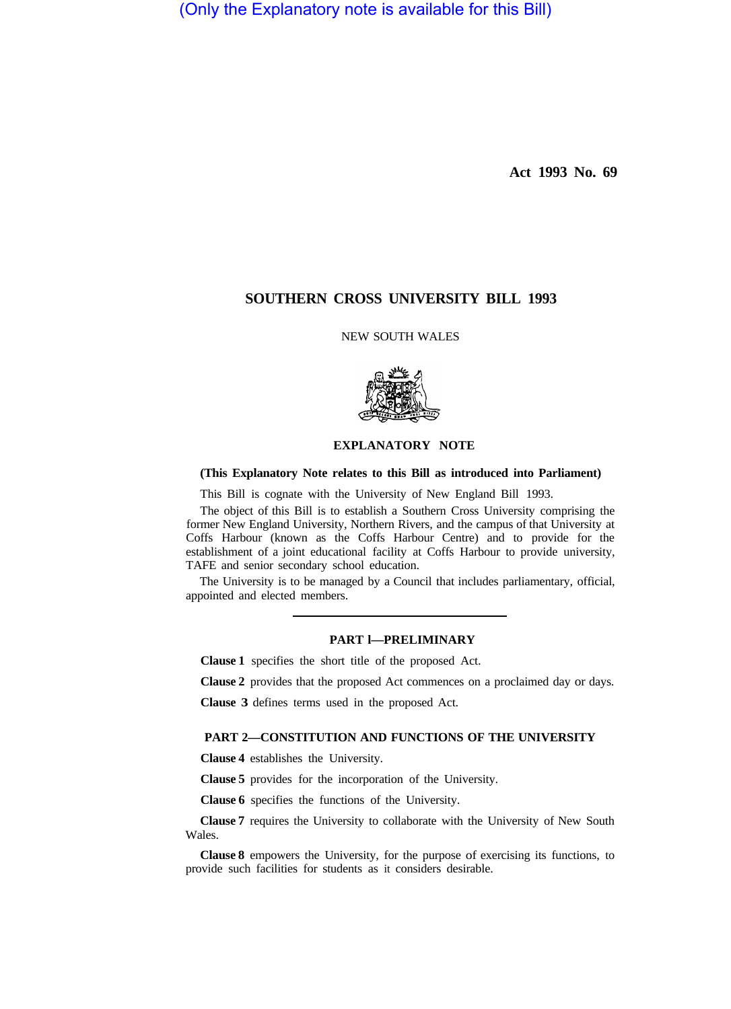(Only the Explanatory note is available for this Bill)

**Act 1993 No. 69** 

# **SOUTHERN CROSS UNIVERSITY BILL 1993**

NEW SOUTH WALES



### **EXPLANATORY NOTE**

#### **(This Explanatory Note relates to this Bill as introduced into Parliament)**

This Bill is cognate with the University of New England Bill 1993.

The object of this Bill is to establish a Southern Cross University comprising the former New England University, Northern Rivers, and the campus of that University at Coffs Harbour (known as the Coffs Harbour Centre) and to provide for the establishment of a joint educational facility at Coffs Harbour to provide university, TAFE and senior secondary school education.

The University is to be managed by a Council that includes parliamentary, official, appointed and elected members.

### **PART l—PRELIMINARY**

**Clause 1** specifies the short title of the proposed Act.

**Clause 2** provides that the proposed Act commences on a proclaimed day or days.

**Clause 3** defines terms used in the proposed Act.

### **PART 2—CONSTITUTION AND FUNCTIONS OF THE UNIVERSITY**

**Clause 4** establishes the University.

**Clause 5** provides for the incorporation of the University.

**Clause 6** specifies the functions of the University.

**Clause 7** requires the University to collaborate with the University of New South Wales.

**Clause 8** empowers the University, for the purpose of exercising its functions, to provide such facilities for students as it considers desirable.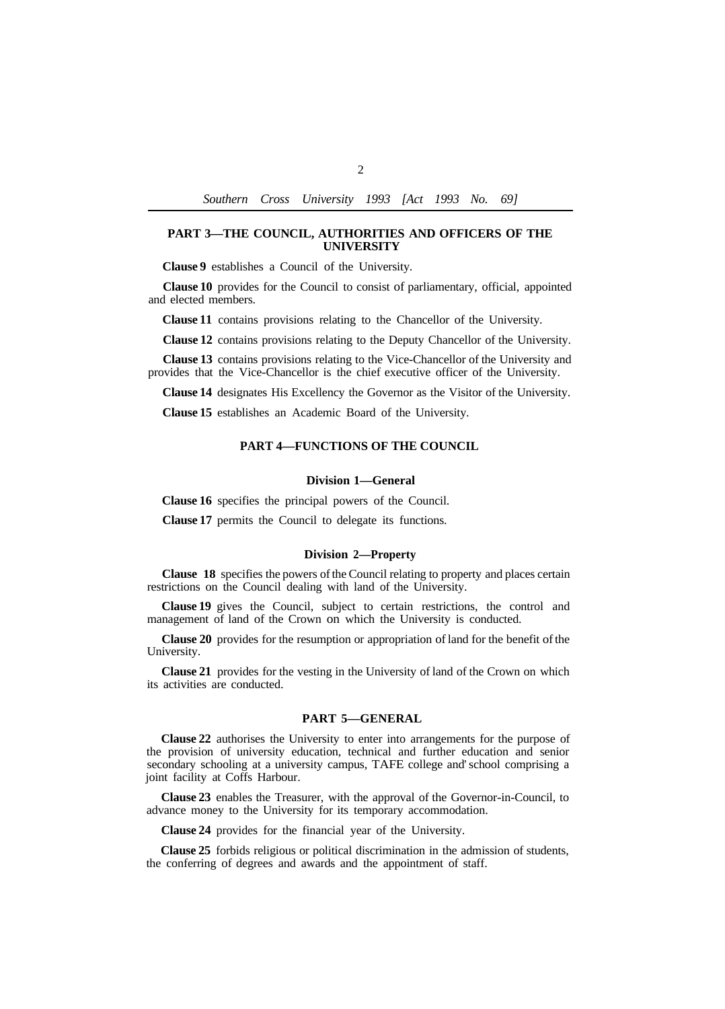*Southern Cross University 1993 [Act 1993 No. 69]* 

## **PART 3—THE COUNCIL, AUTHORITIES AND OFFICERS OF THE UNIVERSITY**

**Clause 9** establishes a Council of the University.

**Clause 10** provides for the Council to consist of parliamentary, official, appointed and elected members.

**Clause 11** contains provisions relating to the Chancellor of the University.

**Clause 12** contains provisions relating to the Deputy Chancellor of the University.

**Clause 13** contains provisions relating to the Vice-Chancellor of the University and provides that the Vice-Chancellor is the chief executive officer of the University.

**Clause 14** designates His Excellency the Governor as the Visitor of the University.

**Clause 15** establishes an Academic Board of the University.

### **PART 4—FUNCTIONS OF THE COUNCIL**

#### **Division 1—General**

**Clause 16** specifies the principal powers of the Council.

**Clause 17** permits the Council to delegate its functions.

#### **Division 2—Property**

**Clause 18** specifies the powers of the Council relating to property and places certain restrictions on the Council dealing with land of the University.

**Clause 19** gives the Council, subject to certain restrictions, the control and management of land of the Crown on which the University is conducted.

**Clause 20** provides for the resumption or appropriation of land for the benefit of the University.

**Clause 21** provides for the vesting in the University of land of the Crown on which its activities are conducted.

## **PART 5—GENERAL**

**Clause 22** authorises the University to enter into arrangements for the purpose of the provision of university education, technical and further education and senior secondary schooling at a university campus, TAFE college and' school comprising a joint facility at Coffs Harbour.

advance money to the University for its temporary accommodation. **Clause 23** enables the Treasurer, with the approval of the Governor-in-Council, to

**Clause 24** provides for the financial year of the University.

**Clause 25** forbids religious or political discrimination in the admission of students, the conferring of degrees and awards and the appointment of staff.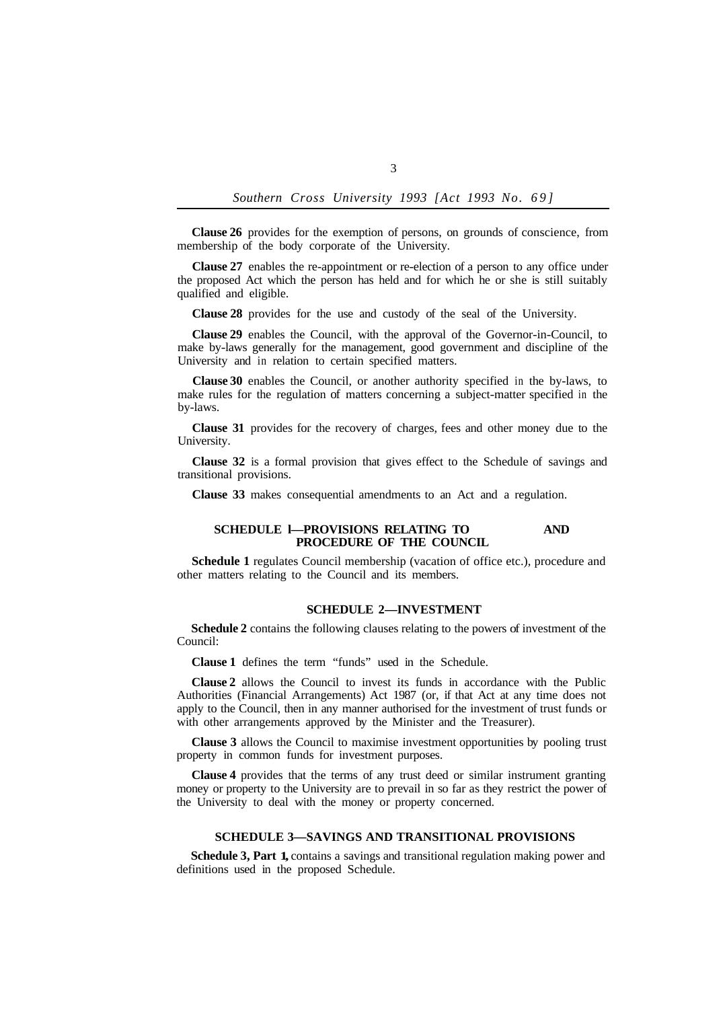*Southern Cross University 1993 [Act 1993 No. 69]* 

**Clause 26** provides for the exemption of persons, on grounds of conscience, from membership of the body corporate of the University.

**Clause 27** enables the re-appointment or re-election of a person to any office under the proposed Act which the person has held and for which he or she is still suitably qualified and eligible.

**Clause 28** provides for the use and custody of the seal of the University.

**Clause 29** enables the Council, with the approval of the Governor-in-Council, to make by-laws generally for the management, good government and discipline of the University and in relation to certain specified matters.

**Clause 30** enables the Council, or another authority specified in the by-laws, to make rules for the regulation of matters concerning a subject-matter specified in the by-laws.

**Clause 31** provides for the recovery of charges, fees and other money due to the University.

**Clause 32** is a formal provision that gives effect to the Schedule of savings and transitional provisions.

**Clause 33** makes consequential amendments to an Act and a regulation.

### **SCHEDULE 1-PROVISIONS RELATING TO AND PROCEDURE OF THE COUNCIL**

**Schedule 1** regulates Council membership (vacation of office etc.), procedure and other matters relating to the Council and its members.

### **SCHEDULE 2—INVESTMENT**

**Schedule 2** contains the following clauses relating to the powers of investment of the Council:

**Clause 1** defines the term "funds" used in the Schedule.

**Clause 2** allows the Council to invest its funds in accordance with the Public Authorities (Financial Arrangements) Act 1987 (or, if that Act at any time does not apply to the Council, then in any manner authorised for the investment of trust funds or with other arrangements approved by the Minister and the Treasurer).

**Clause 3** allows the Council to maximise investment opportunities by pooling trust property in common funds for investment purposes.

**Clause 4** provides that the terms of any trust deed or similar instrument granting money or property to the University are to prevail in so far as they restrict the power of the University to deal with the money or property concerned.

### **SCHEDULE 3—SAVINGS AND TRANSITIONAL PROVISIONS**

**Schedule 3, Part 1,** contains a savings and transitional regulation making power and definitions used in the proposed Schedule.